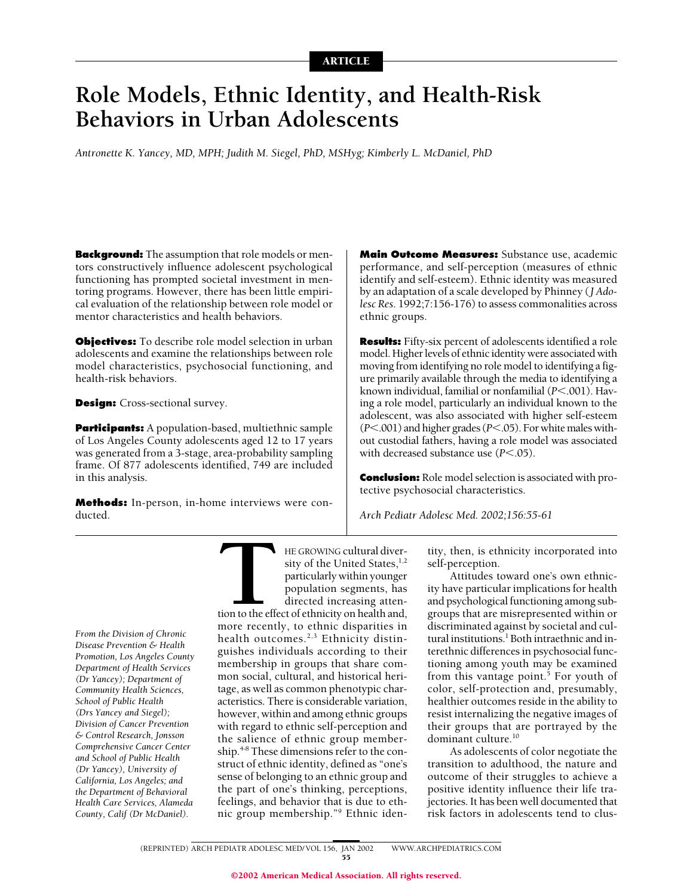# **Role Models, Ethnic Identity, and Health-Risk Behaviors in Urban Adolescents**

*Antronette K. Yancey, MD, MPH; Judith M. Siegel, PhD, MSHyg; Kimberly L. McDaniel, PhD*

**Background:** The assumption that role models or mentors constructively influence adolescent psychological functioning has prompted societal investment in mentoring programs. However, there has been little empirical evaluation of the relationship between role model or mentor characteristics and health behaviors.

**Objectives:** To describe role model selection in urban adolescents and examine the relationships between role model characteristics, psychosocial functioning, and health-risk behaviors.

**Design:** Cross-sectional survey.

**Participants:** A population-based, multiethnic sample of Los Angeles County adolescents aged 12 to 17 years was generated from a 3-stage, area-probability sampling frame. Of 877 adolescents identified, 749 are included in this analysis.

**Methods:** In-person, in-home interviews were conducted.

**Main Outcome Measures:** Substance use, academic performance, and self-perception (measures of ethnic identify and self-esteem). Ethnic identity was measured by an adaptation of a scale developed by Phinney (*J Adolesc Res*. 1992;7:156-176) to assess commonalities across ethnic groups.

**Results:** Fifty-six percent of adolescents identified a role model. Higher levels of ethnic identity were associated with moving from identifying no role model to identifying a figure primarily available through the media to identifying a known individual, familial or nonfamilial ( $P$ <.001). Having a role model, particularly an individual known to the adolescent, was also associated with higher self-esteem ( $P$ <.001) and higher grades ( $P$ <.05). For white males without custodial fathers, having a role model was associated with decreased substance use  $(P<.05)$ .

**Conclusion:** Role model selection is associated with protective psychosocial characteristics.

*Arch Pediatr Adolesc Med. 2002;156:55-61*

*From the Division of Chronic Disease Prevention & Health Promotion, Los Angeles County Department of Health Services (Dr Yancey); Department of Community Health Sciences, School of Public Health (Drs Yancey and Siegel); Division of Cancer Prevention & Control Research, Jonsson Comprehensive Cancer Center and School of Public Health (Dr Yancey), University of California, Los Angeles; and the Department of Behavioral Health Care Services, Alameda County, Calif (Dr McDaniel).*

THE GROWING cultural diversity of the United States,<sup>1,2</sup><br>particularly within younger<br>population segments, has<br>directed increasing atten-<br>tion to the effect of ethnicity on health and,<br>more recently, to ethnic disparities sity of the United States,<sup>1,2</sup> particularly within younger population segments, has directed increasing atten-

tion to the effect of ethnicity on health and, more recently, to ethnic disparities in health outcomes.<sup>2,3</sup> Ethnicity distinguishes individuals according to their membership in groups that share common social, cultural, and historical heritage, as well as common phenotypic characteristics. There is considerable variation, however, within and among ethnic groups with regard to ethnic self-perception and the salience of ethnic group membership.<sup>4-8</sup> These dimensions refer to the construct of ethnic identity, defined as "one's sense of belonging to an ethnic group and the part of one's thinking, perceptions, feelings, and behavior that is due to ethnic group membership."9 Ethnic iden-

tity, then, is ethnicity incorporated into self-perception.

Attitudes toward one's own ethnicity have particular implications for health and psychological functioning among subgroups that are misrepresented within or discriminated against by societal and cultural institutions.<sup>1</sup> Both intraethnic and interethnic differences in psychosocial functioning among youth may be examined from this vantage point.<sup>5</sup> For youth of color, self-protection and, presumably, healthier outcomes reside in the ability to resist internalizing the negative images of their groups that are portrayed by the dominant culture.<sup>10</sup>

As adolescents of color negotiate the transition to adulthood, the nature and outcome of their struggles to achieve a positive identity influence their life trajectories. It has been well documented that risk factors in adolescents tend to clus-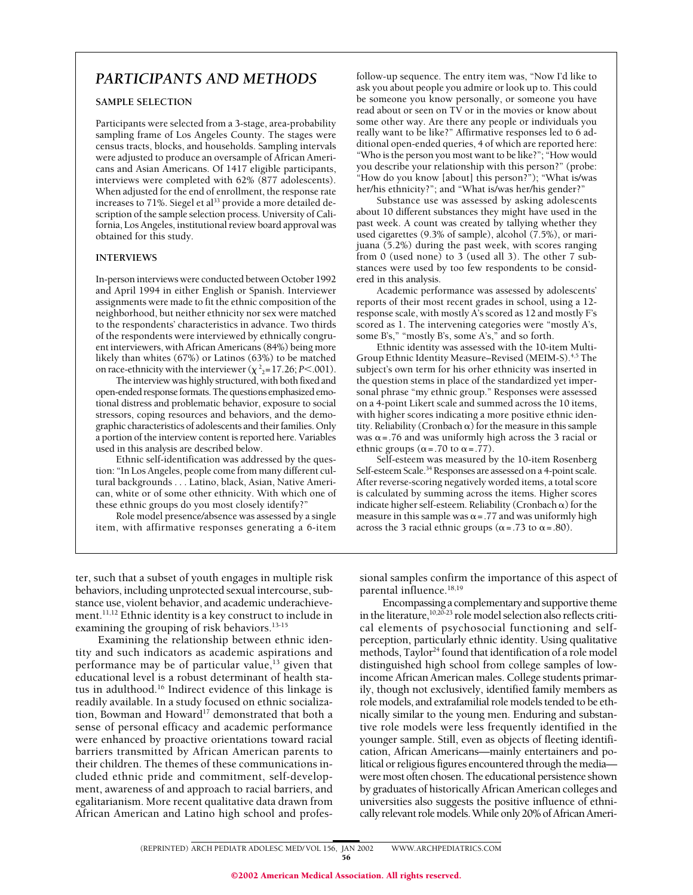## *PARTICIPANTS AND METHODS*

## **SAMPLE SELECTION**

Participants were selected from a 3-stage, area-probability sampling frame of Los Angeles County. The stages were census tracts, blocks, and households. Sampling intervals were adjusted to produce an oversample of African Americans and Asian Americans. Of 1417 eligible participants, interviews were completed with 62% (877 adolescents). When adjusted for the end of enrollment, the response rate increases to 71%. Siegel et al<sup>33</sup> provide a more detailed description of the sample selection process. University of California, Los Angeles, institutional review board approval was obtained for this study.

## **INTERVIEWS**

In-person interviews were conducted between October 1992 and April 1994 in either English or Spanish. Interviewer assignments were made to fit the ethnic composition of the neighborhood, but neither ethnicity nor sex were matched to the respondents' characteristics in advance. Two thirds of the respondents were interviewed by ethnically congruent interviewers, with African Americans (84%) being more likely than whites (67%) or Latinos (63%) to be matched on race-ethnicity with the interviewer ( $\chi^2$ <sub>2</sub>=17.26; *P*<.001).

The interview was highly structured, with both fixed and open-ended response formats. The questions emphasized emotional distress and problematic behavior, exposure to social stressors, coping resources and behaviors, and the demographic characteristics of adolescents and their families. Only a portion of the interview content is reported here. Variables used in this analysis are described below.

Ethnic self-identification was addressed by the question: "In Los Angeles, people come from many different cultural backgrounds . . . Latino, black, Asian, Native American, white or of some other ethnicity. With which one of these ethnic groups do you most closely identify?"

Role model presence/absence was assessed by a single item, with affirmative responses generating a 6-item

follow-up sequence. The entry item was, "Now I'd like to ask you about people you admire or look up to. This could be someone you know personally, or someone you have read about or seen on TV or in the movies or know about some other way. Are there any people or individuals you really want to be like?" Affirmative responses led to 6 additional open-ended queries, 4 of which are reported here: "Who is the person you most want to be like?"; "How would you describe your relationship with this person?" (probe: "How do you know [about] this person?"); "What is/was her/his ethnicity?"; and "What is/was her/his gender?"

Substance use was assessed by asking adolescents about 10 different substances they might have used in the past week. A count was created by tallying whether they used cigarettes (9.3% of sample), alcohol (7.5%), or marijuana (5.2%) during the past week, with scores ranging from 0 (used none) to 3 (used all 3). The other 7 substances were used by too few respondents to be considered in this analysis.

Academic performance was assessed by adolescents' reports of their most recent grades in school, using a 12 response scale, with mostly A's scored as 12 and mostly F's scored as 1. The intervening categories were "mostly A's, some B's," "mostly B's, some A's," and so forth.

Ethnic identity was assessed with the 10-item Multi-Group Ethnic Identity Measure–Revised (MEIM-S).<sup>4,5</sup> The subject's own term for his orher ethnicity was inserted in the question stems in place of the standardized yet impersonal phrase "my ethnic group." Responses were assessed on a 4-point Likert scale and summed across the 10 items, with higher scores indicating a more positive ethnic identity. Reliability (Cronbach  $\alpha$ ) for the measure in this sample was  $\alpha$  = .76 and was uniformly high across the 3 racial or ethnic groups ( $\alpha$  = .70 to  $\alpha$  = .77).

Self-esteem was measured by the 10-item Rosenberg Self-esteem Scale.<sup>34</sup> Responses are assessed on a 4-point scale. After reverse-scoring negatively worded items, a total score is calculated by summing across the items. Higher scores indicate higher self-esteem. Reliability (Cronbach  $\alpha$ ) for the measure in this sample was  $\alpha$  = .77 and was uniformly high across the 3 racial ethnic groups ( $\alpha$  = .73 to  $\alpha$  = .80).

ter, such that a subset of youth engages in multiple risk behaviors, including unprotected sexual intercourse, substance use, violent behavior, and academic underachievement.<sup>11,12</sup> Ethnic identity is a key construct to include in examining the grouping of risk behaviors.<sup>13-15</sup>

Examining the relationship between ethnic identity and such indicators as academic aspirations and performance may be of particular value,<sup>13</sup> given that educational level is a robust determinant of health status in adulthood.16 Indirect evidence of this linkage is readily available. In a study focused on ethnic socialization, Bowman and Howard<sup>17</sup> demonstrated that both a sense of personal efficacy and academic performance were enhanced by proactive orientations toward racial barriers transmitted by African American parents to their children. The themes of these communications included ethnic pride and commitment, self-development, awareness of and approach to racial barriers, and egalitarianism. More recent qualitative data drawn from African American and Latino high school and professional samples confirm the importance of this aspect of parental influence.<sup>18,19</sup>

Encompassing a complementary and supportive theme in the literature,<sup>10,20-23</sup> role model selection also reflects critical elements of psychosocial functioning and selfperception, particularly ethnic identity. Using qualitative methods, Taylor<sup>24</sup> found that identification of a role model distinguished high school from college samples of lowincome African American males. College students primarily, though not exclusively, identified family members as role models, and extrafamilial role models tended to be ethnically similar to the young men. Enduring and substantive role models were less frequently identified in the younger sample. Still, even as objects of fleeting identification, African Americans—mainly entertainers and political or religious figures encountered through the media were most often chosen. The educational persistence shown by graduates of historically African American colleges and universities also suggests the positive influence of ethnically relevant role models. While only 20% of African Ameri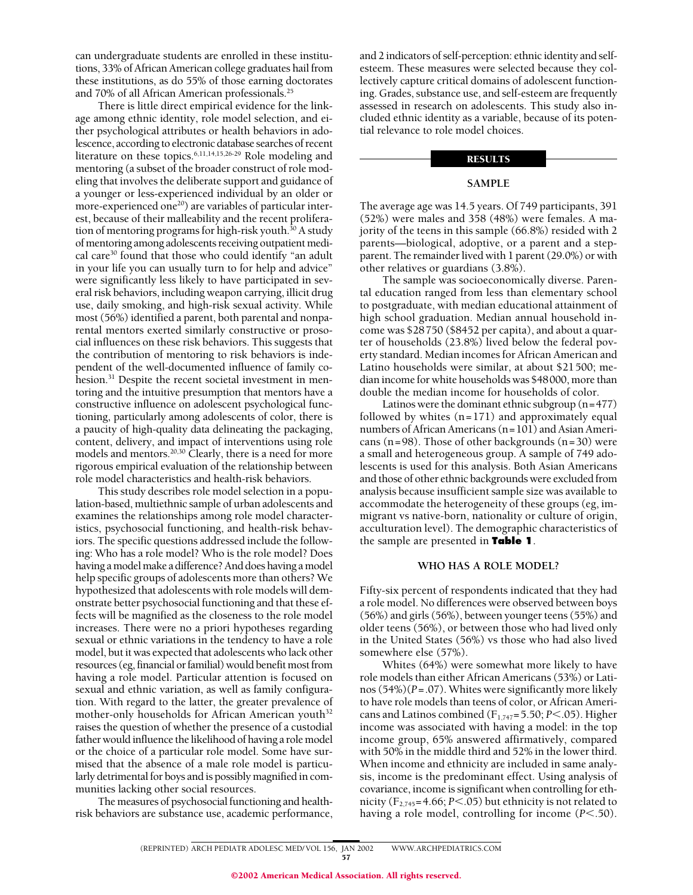can undergraduate students are enrolled in these institutions, 33% of African American college graduates hail from these institutions, as do 55% of those earning doctorates and 70% of all African American professionals.<sup>25</sup>

There is little direct empirical evidence for the linkage among ethnic identity, role model selection, and either psychological attributes or health behaviors in adolescence, according to electronic database searches of recent literature on these topics.6,11,14,15,26-29 Role modeling and mentoring (a subset of the broader construct of role modeling that involves the deliberate support and guidance of a younger or less-experienced individual by an older or more-experienced one<sup>20</sup>) are variables of particular interest, because of their malleability and the recent proliferation of mentoring programs for high-risk youth. $30$  A study of mentoring among adolescents receiving outpatient medical care<sup>30</sup> found that those who could identify "an adult in your life you can usually turn to for help and advice" were significantly less likely to have participated in several risk behaviors, including weapon carrying, illicit drug use, daily smoking, and high-risk sexual activity. While most (56%) identified a parent, both parental and nonparental mentors exerted similarly constructive or prosocial influences on these risk behaviors. This suggests that the contribution of mentoring to risk behaviors is independent of the well-documented influence of family cohesion.<sup>31</sup> Despite the recent societal investment in mentoring and the intuitive presumption that mentors have a constructive influence on adolescent psychological functioning, particularly among adolescents of color, there is a paucity of high-quality data delineating the packaging, content, delivery, and impact of interventions using role models and mentors.20,30 Clearly, there is a need for more rigorous empirical evaluation of the relationship between role model characteristics and health-risk behaviors.

This study describes role model selection in a population-based, multiethnic sample of urban adolescents and examines the relationships among role model characteristics, psychosocial functioning, and health-risk behaviors. The specific questions addressed include the following: Who has a role model? Who is the role model? Does having a model make a difference? And does having a model help specific groups of adolescents more than others? We hypothesized that adolescents with role models will demonstrate better psychosocial functioning and that these effects will be magnified as the closeness to the role model increases. There were no a priori hypotheses regarding sexual or ethnic variations in the tendency to have a role model, but it was expected that adolescents who lack other resources (eg, financial or familial) would benefit most from having a role model. Particular attention is focused on sexual and ethnic variation, as well as family configuration. With regard to the latter, the greater prevalence of mother-only households for African American youth<sup>32</sup> raises the question of whether the presence of a custodial father would influence the likelihood of having a role model or the choice of a particular role model. Some have surmised that the absence of a male role model is particularly detrimental for boys and is possibly magnified in communities lacking other social resources.

The measures of psychosocial functioning and healthrisk behaviors are substance use, academic performance, and 2 indicators of self-perception: ethnic identity and selfesteem. These measures were selected because they collectively capture critical domains of adolescent functioning. Grades, substance use, and self-esteem are frequently assessed in research on adolescents. This study also included ethnic identity as a variable, because of its potential relevance to role model choices.

## **RESULTS**

## **SAMPLE**

The average age was 14.5 years. Of 749 participants, 391 (52%) were males and 358 (48%) were females. A majority of the teens in this sample (66.8%) resided with 2 parents—biological, adoptive, or a parent and a stepparent. The remainder lived with 1 parent (29.0%) or with other relatives or guardians (3.8%).

The sample was socioeconomically diverse. Parental education ranged from less than elementary school to postgraduate, with median educational attainment of high school graduation. Median annual household income was \$28750 (\$8452 per capita), and about a quarter of households (23.8%) lived below the federal poverty standard. Median incomes for African American and Latino households were similar, at about \$21500; median income for white households was \$48000, more than double the median income for households of color.

Latinos were the dominant ethnic subgroup (n=477) followed by whites  $(n=171)$  and approximately equal numbers of African Americans (n=101) and Asian Americans (n=98). Those of other backgrounds (n=30) were a small and heterogeneous group. A sample of 749 adolescents is used for this analysis. Both Asian Americans and those of other ethnic backgrounds were excluded from analysis because insufficient sample size was available to accommodate the heterogeneity of these groups (eg, immigrant vs native-born, nationality or culture of origin, acculturation level). The demographic characteristics of the sample are presented in **Table 1**.

## **WHO HAS A ROLE MODEL?**

Fifty-six percent of respondents indicated that they had a role model. No differences were observed between boys (56%) and girls (56%), between younger teens (55%) and older teens (56%), or between those who had lived only in the United States (56%) vs those who had also lived somewhere else (57%).

Whites (64%) were somewhat more likely to have role models than either African Americans (53%) or Latinos (54%)(*P*=.07). Whites were significantly more likely to have role models than teens of color, or African Americans and Latinos combined (F<sub>1,747</sub>=5.50; *P*<.05). Higher income was associated with having a model: in the top income group, 65% answered affirmatively, compared with 50% in the middle third and 52% in the lower third. When income and ethnicity are included in same analysis, income is the predominant effect. Using analysis of covariance, income is significant when controlling for ethnicity ( $F_{2,745}$ =4.66; *P*<.05) but ethnicity is not related to having a role model, controlling for income (*P*<.50).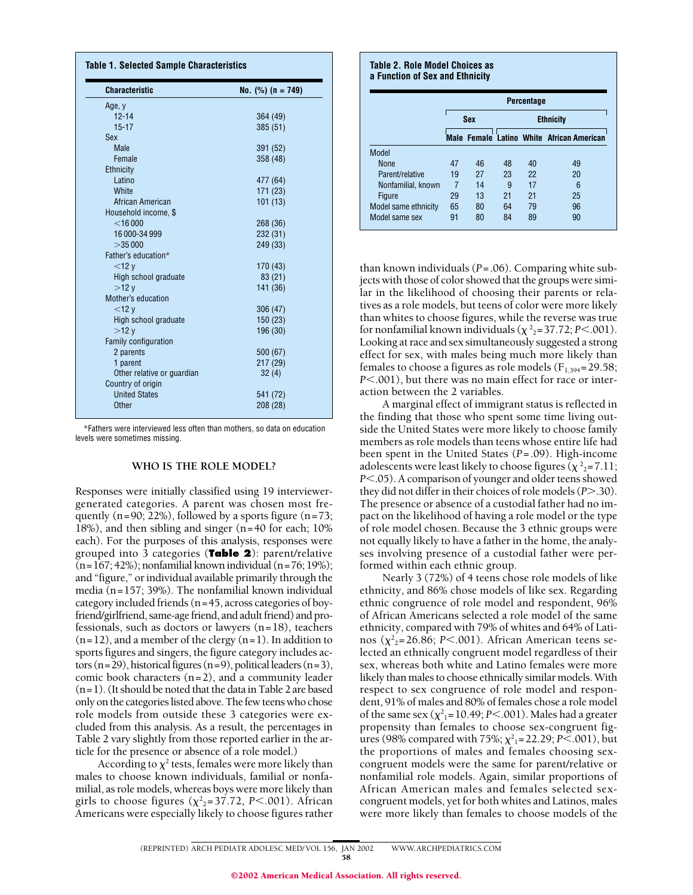| <b>Characteristic</b>      | No. $(\%)(n = 749)$ |  |  |
|----------------------------|---------------------|--|--|
| Age, y                     |                     |  |  |
| $12 - 14$                  | 364 (49)            |  |  |
| $15 - 17$                  | 385 (51)            |  |  |
| <b>Sex</b>                 |                     |  |  |
| Male                       | 391 (52)            |  |  |
| Female                     | 358 (48)            |  |  |
| <b>Ethnicity</b>           |                     |  |  |
| Latino                     | 477 (64)            |  |  |
| White                      | 171 (23)            |  |  |
| African American           | 101(13)             |  |  |
| Household income, \$       |                     |  |  |
| $<$ 16 000                 | 268 (36)            |  |  |
| 16 000-34 999              | 232 (31)            |  |  |
| >35000                     | 249 (33)            |  |  |
| Father's education*        |                     |  |  |
| $<$ 12 $y$                 | 170 (43)            |  |  |
| High school graduate       | 83 (21)             |  |  |
| >12v                       | 141 (36)            |  |  |
| Mother's education         |                     |  |  |
| $<$ 12 $v$                 | 306 (47)            |  |  |
| High school graduate       | 150 (23)            |  |  |
| >12v                       | 196 (30)            |  |  |
| Family configuration       |                     |  |  |
| 2 parents                  | 500 (67)            |  |  |
| 1 parent                   | 217 (29)            |  |  |
| Other relative or guardian | 32(4)               |  |  |
| Country of origin          |                     |  |  |
| <b>United States</b>       | 541 (72)            |  |  |
| Other                      | 208 (28)            |  |  |

\*Fathers were interviewed less often than mothers, so data on education levels were sometimes missing.

## **WHO IS THE ROLE MODEL?**

Responses were initially classified using 19 interviewergenerated categories. A parent was chosen most frequently  $(n=90; 22\%)$ , followed by a sports figure  $(n=73;$ 18%), and then sibling and singer (n=40 for each; 10% each). For the purposes of this analysis, responses were grouped into 3 categories (**Table 2**): parent/relative  $(n=167; 42\%)$ ; nonfamilial known individual  $(n=76; 19\%)$ ; and "figure," or individual available primarily through the media (n=157; 39%). The nonfamilial known individual category included friends (n=45, across categories of boyfriend/girlfriend, same-age friend, and adult friend) and professionals, such as doctors or lawyers (n=18), teachers  $(n=12)$ , and a member of the clergy  $(n=1)$ . In addition to sports figures and singers, the figure category includes actors (n=29), historical figures (n=9), political leaders (n=3), comic book characters (n=2), and a community leader (n=1). (It should be noted that the data in Table 2 are based only on the categories listed above. The few teens who chose role models from outside these 3 categories were excluded from this analysis. As a result, the percentages in Table 2 vary slightly from those reported earlier in the article for the presence or absence of a role model.)

According to  $\chi^2$  tests, females were more likely than males to choose known individuals, familial or nonfamilial, as role models, whereas boys were more likely than girls to choose figures ( $\chi^2$ <sub>2</sub>=37.72, *P*<.001). African Americans were especially likely to choose figures rather

#### **Table 2. Role Model Choices as a Function of Sex and Ethnicity**

|                      | Percentage |    |                  |    |                                           |  |
|----------------------|------------|----|------------------|----|-------------------------------------------|--|
|                      | <b>Sex</b> |    | <b>Ethnicity</b> |    |                                           |  |
|                      |            |    |                  |    | Male Female Latino White African American |  |
| Model                |            |    |                  |    |                                           |  |
| <b>None</b>          | 47         | 46 | 48               | 40 | 49                                        |  |
| Parent/relative      | 19         | 27 | 23               | 22 | 20                                        |  |
| Nonfamilial, known   | 7          | 14 | 9                | 17 | 6                                         |  |
| Figure               | 29         | 13 | 21               | 21 | 25                                        |  |
| Model same ethnicity | 65         | 80 | 64               | 79 | 96                                        |  |
| Model same sex       | 91         | 80 | 84               | 89 | 90                                        |  |

than known individuals (*P*=.06). Comparing white subjects with those of color showed that the groups were similar in the likelihood of choosing their parents or relatives as a role models, but teens of color were more likely than whites to choose figures, while the reverse was true for nonfamilial known individuals ( $\chi^2$ <sub>2</sub>=37.72; *P*<.001). Looking at race and sex simultaneously suggested a strong effect for sex, with males being much more likely than females to choose a figures as role models ( $F_{1,394}$ =29.58; *P*.001), but there was no main effect for race or interaction between the 2 variables.

A marginal effect of immigrant status is reflected in the finding that those who spent some time living outside the United States were more likely to choose family members as role models than teens whose entire life had been spent in the United States (*P*=.09). High-income adolescents were least likely to choose figures ( $\chi^2$ <sub>2</sub>=7.11; *P* $<$ .05). A comparison of younger and older teens showed they did not differ in their choices of role models (*P*.30). The presence or absence of a custodial father had no impact on the likelihood of having a role model or the type of role model chosen. Because the 3 ethnic groups were not equally likely to have a father in the home, the analyses involving presence of a custodial father were performed within each ethnic group.

Nearly 3 (72%) of 4 teens chose role models of like ethnicity, and 86% chose models of like sex. Regarding ethnic congruence of role model and respondent, 96% of African Americans selected a role model of the same ethnicity, compared with 79% of whites and 64% of Latinos ( $\chi^2$ <sub>2</sub>=26.86; *P*<.001). African American teens selected an ethnically congruent model regardless of their sex, whereas both white and Latino females were more likely than males to choose ethnically similar models. With respect to sex congruence of role model and respondent, 91% of males and 80% of females chose a role model of the same sex  $(\chi^2_{1} = 10.49; P < .001)$ . Males had a greater propensity than females to choose sex-congruent figures (98% compared with 75%;  $\chi^2$ <sub>1</sub>=22.29; *P*<.001), but the proportions of males and females choosing sexcongruent models were the same for parent/relative or nonfamilial role models. Again, similar proportions of African American males and females selected sexcongruent models, yet for both whites and Latinos, males were more likely than females to choose models of the

<sup>(</sup>REPRINTED) ARCH PEDIATR ADOLESC MED/ VOL 156, JAN 2002 WWW.ARCHPEDIATRICS.COM 58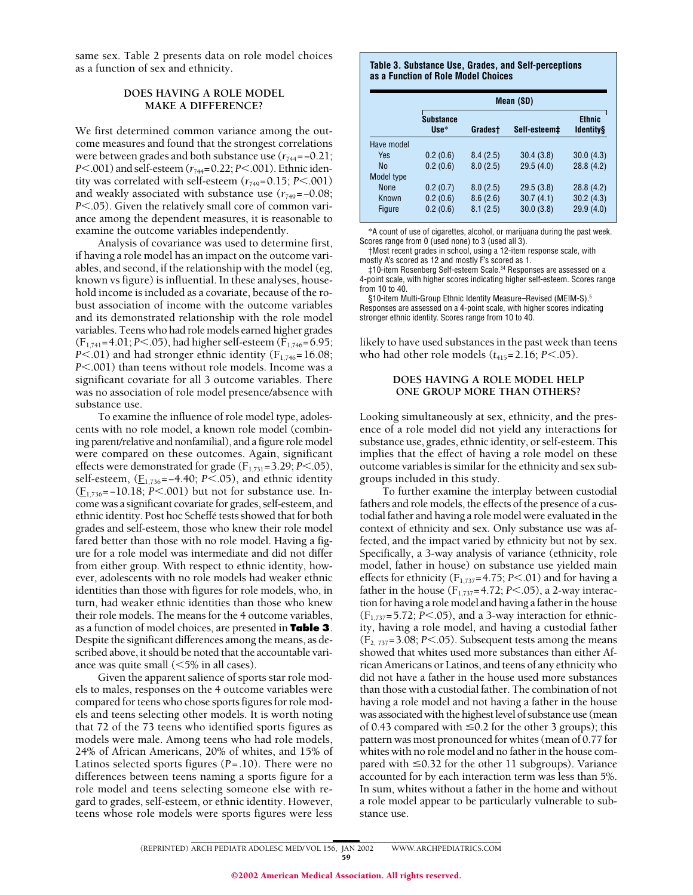same sex. Table 2 presents data on role model choices as a function of sex and ethnicity.

## **DOES HAVING A ROLE MODEL MAKE A DIFFERENCE?**

We first determined common variance among the outcome measures and found that the strongest correlations were between grades and both substance use ( $r_{744}$ =–0.21; *P*<.001) and self-esteem ( $r_{744}$ =0.22; *P*<.001). Ethnic identity was correlated with self-esteem  $(r_{749}=0.15; P<.001)$ and weakly associated with substance use  $(r_{749}=-0.08;$ *P*<.05). Given the relatively small core of common variance among the dependent measures, it is reasonable to examine the outcome variables independently.

Analysis of covariance was used to determine first, if having a role model has an impact on the outcome variables, and second, if the relationship with the model (eg, known vs figure) is influential. In these analyses, household income is included as a covariate, because of the robust association of income with the outcome variables and its demonstrated relationship with the role model variables. Teens who had role models earned higher grades  $(F_{1,741} = 4.01; P \le 0.05)$ , had higher self-esteem  $(F_{1,746} = 6.95;$ *P* $<$ .01) and had stronger ethnic identity ( $F_{1,746}$ =16.08; *P*<.001) than teens without role models. Income was a significant covariate for all 3 outcome variables. There was no association of role model presence/absence with substance use.

To examine the influence of role model type, adolescents with no role model, a known role model (combining parent/relative and nonfamilial), and a figure role model were compared on these outcomes. Again, significant effects were demonstrated for grade  $(F_{1,731}=3.29; P<.05)$ , self-esteem, ( $\underline{F}_{1,736}$ = -4.40; *P*<.05), and ethnic identity (F1,736=−10.18; *P*.001) but not for substance use. Income was a significant covariate for grades, self-esteem, and ethnic identity. Post hoc Scheffé tests showed that for both grades and self-esteem, those who knew their role model fared better than those with no role model. Having a figure for a role model was intermediate and did not differ from either group. With respect to ethnic identity, however, adolescents with no role models had weaker ethnic identities than those with figures for role models, who, in turn, had weaker ethnic identities than those who knew their role models. The means for the 4 outcome variables, as a function of model choices, are presented in **Table 3**. Despite the significant differences among the means, as described above, it should be noted that the accountable variance was quite small  $(\leq 5\%$  in all cases).

Given the apparent salience of sports star role models to males, responses on the 4 outcome variables were compared for teens who chose sports figures for role models and teens selecting other models. It is worth noting that 72 of the 73 teens who identified sports figures as models were male. Among teens who had role models, 24% of African Americans, 20% of whites, and 15% of Latinos selected sports figures (*P*=.10). There were no differences between teens naming a sports figure for a role model and teens selecting someone else with regard to grades, self-esteem, or ethnic identity. However, teens whose role models were sports figures were less

#### **Table 3. Substance Use, Grades, and Self-perceptions as a Function of Role Model Choices**

|               | Mean (SD)                |          |              |                                   |  |  |
|---------------|--------------------------|----------|--------------|-----------------------------------|--|--|
|               | <b>Substance</b><br>Use* | Gradest  | Self-esteem‡ | <b>Ethnic</b><br><b>Identitys</b> |  |  |
| Have model    |                          |          |              |                                   |  |  |
| Yes           | 0.2(0.6)                 | 8.4(2.5) | 30.4(3.8)    | 30.0(4.3)                         |  |  |
| <b>No</b>     | 0.2(0.6)                 | 8.0(2.5) | 29.5(4.0)    | 28.8(4.2)                         |  |  |
| Model type    |                          |          |              |                                   |  |  |
| <b>None</b>   | 0.2(0.7)                 | 8.0(2.5) | 29.5(3.8)    | 28.8(4.2)                         |  |  |
| Known         | 0.2(0.6)                 | 8.6(2.6) | 30.7(4.1)    | 30.2(4.3)                         |  |  |
| <b>Figure</b> | 0.2(0.6)                 | 8.1(2.5) | 30.0(3.8)    | 29.9(4.0)                         |  |  |

\*A count of use of cigarettes, alcohol, or marijuana during the past week. Scores range from 0 (used none) to 3 (used all 3).

†Most recent grades in school, using a 12-item response scale, with mostly A's scored as 12 and mostly F's scored as 1.

‡10-item Rosenberg Self-esteem Scale.34 Responses are assessed on a 4-point scale, with higher scores indicating higher self-esteem. Scores range from 10 to 40.

§10-item Multi-Group Ethnic Identity Measure–Revised (MEIM-S).<sup>5</sup> Responses are assessed on a 4-point scale, with higher scores indicating stronger ethnic identity. Scores range from 10 to 40.

likely to have used substances in the past week than teens who had other role models  $(t_{415}=2.16; P<.05)$ .

## **DOES HAVING A ROLE MODEL HELP ONE GROUP MORE THAN OTHERS?**

Looking simultaneously at sex, ethnicity, and the presence of a role model did not yield any interactions for substance use, grades, ethnic identity, or self-esteem. This implies that the effect of having a role model on these outcome variables is similar for the ethnicity and sex subgroups included in this study.

To further examine the interplay between custodial fathers and role models, the effects of the presence of a custodial father and having a role model were evaluated in the context of ethnicity and sex. Only substance use was affected, and the impact varied by ethnicity but not by sex. Specifically, a 3-way analysis of variance (ethnicity, role model, father in house) on substance use yielded main effects for ethnicity ( $F_{1,737}$ =4.75; *P*<.01) and for having a father in the house  $(F_{1,737} = 4.72; P \le 0.05)$ , a 2-way interaction for having a role model and having a father in the house  $(F_{1,737}=5.72; P<.05)$ , and a 3-way interaction for ethnicity, having a role model, and having a custodial father  $(F<sub>2, 737</sub>=3.08; P<.05)$ . Subsequent tests among the means showed that whites used more substances than either African Americans or Latinos, and teens of any ethnicity who did not have a father in the house used more substances than those with a custodial father. The combination of not having a role model and not having a father in the house was associated with the highest level of substance use (mean of 0.43 compared with  $\leq$  0.2 for the other 3 groups); this pattern was most pronounced for whites (mean of 0.77 for whites with no role model and no father in the house compared with  $\leq 0.32$  for the other 11 subgroups). Variance accounted for by each interaction term was less than 5%. In sum, whites without a father in the home and without a role model appear to be particularly vulnerable to substance use.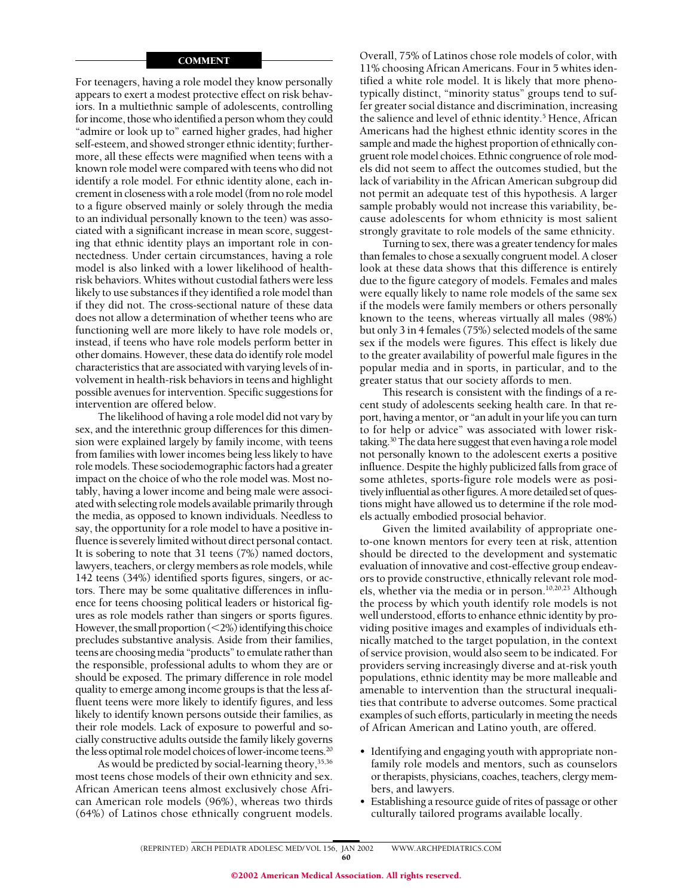## COMMENT

For teenagers, having a role model they know personally appears to exert a modest protective effect on risk behaviors. In a multiethnic sample of adolescents, controlling for income, those who identified a person whom they could "admire or look up to" earned higher grades, had higher self-esteem, and showed stronger ethnic identity; furthermore, all these effects were magnified when teens with a known role model were compared with teens who did not identify a role model. For ethnic identity alone, each increment in closeness with a role model (from no role model to a figure observed mainly or solely through the media to an individual personally known to the teen) was associated with a significant increase in mean score, suggesting that ethnic identity plays an important role in connectedness. Under certain circumstances, having a role model is also linked with a lower likelihood of healthrisk behaviors. Whites without custodial fathers were less likely to use substances if they identified a role model than if they did not. The cross-sectional nature of these data does not allow a determination of whether teens who are functioning well are more likely to have role models or, instead, if teens who have role models perform better in other domains. However, these data do identify role model characteristics that are associated with varying levels of involvement in health-risk behaviors in teens and highlight possible avenues for intervention. Specific suggestions for intervention are offered below.

The likelihood of having a role model did not vary by sex, and the interethnic group differences for this dimension were explained largely by family income, with teens from families with lower incomes being less likely to have role models. These sociodemographic factors had a greater impact on the choice of who the role model was. Most notably, having a lower income and being male were associated with selecting role models available primarily through the media, as opposed to known individuals. Needless to say, the opportunity for a role model to have a positive influence is severely limited without direct personal contact. It is sobering to note that 31 teens (7%) named doctors, lawyers, teachers, or clergy members as role models, while 142 teens (34%) identified sports figures, singers, or actors. There may be some qualitative differences in influence for teens choosing political leaders or historical figures as role models rather than singers or sports figures. However, the small proportion  $\left($  < 2%) identifying this choice precludes substantive analysis. Aside from their families, teens are choosing media "products" to emulate rather than the responsible, professional adults to whom they are or should be exposed. The primary difference in role model quality to emerge among income groups is that the less affluent teens were more likely to identify figures, and less likely to identify known persons outside their families, as their role models. Lack of exposure to powerful and socially constructive adults outside the family likely governs the less optimal role model choices of lower-income teens.<sup>20</sup>

As would be predicted by social-learning theory, 35,36 most teens chose models of their own ethnicity and sex. African American teens almost exclusively chose African American role models (96%), whereas two thirds (64%) of Latinos chose ethnically congruent models.

Overall, 75% of Latinos chose role models of color, with 11% choosing African Americans. Four in 5 whites identified a white role model. It is likely that more phenotypically distinct, "minority status" groups tend to suffer greater social distance and discrimination, increasing the salience and level of ethnic identity.<sup>5</sup> Hence, African Americans had the highest ethnic identity scores in the sample and made the highest proportion of ethnically congruent role model choices. Ethnic congruence of role models did not seem to affect the outcomes studied, but the lack of variability in the African American subgroup did not permit an adequate test of this hypothesis. A larger sample probably would not increase this variability, because adolescents for whom ethnicity is most salient strongly gravitate to role models of the same ethnicity.

Turning to sex, there was a greater tendency for males than females to chose a sexually congruent model. A closer look at these data shows that this difference is entirely due to the figure category of models. Females and males were equally likely to name role models of the same sex if the models were family members or others personally known to the teens, whereas virtually all males (98%) but only 3 in 4 females (75%) selected models of the same sex if the models were figures. This effect is likely due to the greater availability of powerful male figures in the popular media and in sports, in particular, and to the greater status that our society affords to men.

This research is consistent with the findings of a recent study of adolescents seeking health care. In that report, having a mentor, or "an adult in your life you can turn to for help or advice" was associated with lower risktaking.<sup>30</sup> The data here suggest that even having a role model not personally known to the adolescent exerts a positive influence. Despite the highly publicized falls from grace of some athletes, sports-figure role models were as positively influential as other figures. A more detailed set of questions might have allowed us to determine if the role models actually embodied prosocial behavior.

Given the limited availability of appropriate oneto-one known mentors for every teen at risk, attention should be directed to the development and systematic evaluation of innovative and cost-effective group endeavors to provide constructive, ethnically relevant role models, whether via the media or in person.10,20,23 Although the process by which youth identify role models is not well understood, efforts to enhance ethnic identity by providing positive images and examples of individuals ethnically matched to the target population, in the context of service provision, would also seem to be indicated. For providers serving increasingly diverse and at-risk youth populations, ethnic identity may be more malleable and amenable to intervention than the structural inequalities that contribute to adverse outcomes. Some practical examples of such efforts, particularly in meeting the needs of African American and Latino youth, are offered.

- Identifying and engaging youth with appropriate nonfamily role models and mentors, such as counselors or therapists, physicians, coaches, teachers, clergy members, and lawyers.
- Establishing a resource guide of rites of passage or other culturally tailored programs available locally.